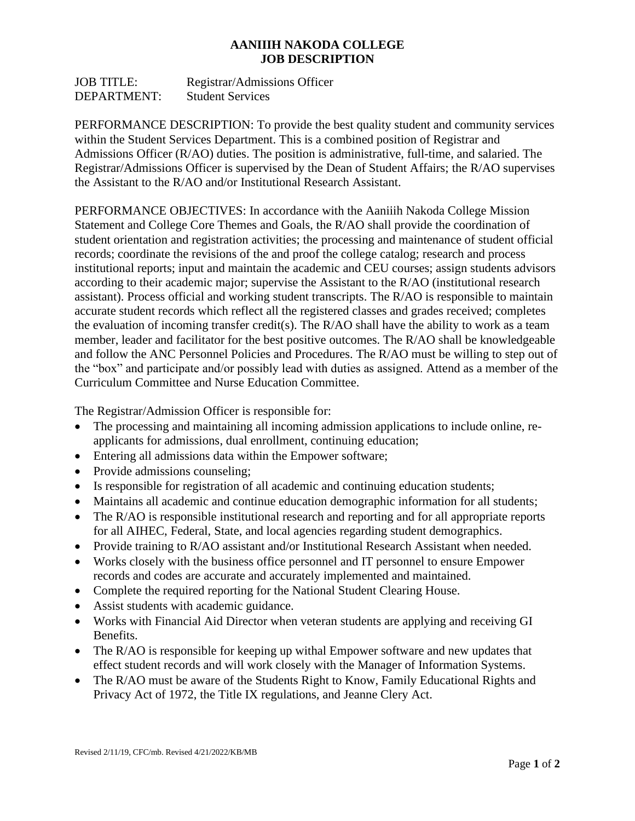## **AANIIIH NAKODA COLLEGE JOB DESCRIPTION**

JOB TITLE: Registrar/Admissions Officer DEPARTMENT: Student Services

PERFORMANCE DESCRIPTION: To provide the best quality student and community services within the Student Services Department. This is a combined position of Registrar and Admissions Officer (R/AO) duties. The position is administrative, full-time, and salaried. The Registrar/Admissions Officer is supervised by the Dean of Student Affairs; the R/AO supervises the Assistant to the R/AO and/or Institutional Research Assistant.

PERFORMANCE OBJECTIVES: In accordance with the Aaniiih Nakoda College Mission Statement and College Core Themes and Goals, the R/AO shall provide the coordination of student orientation and registration activities; the processing and maintenance of student official records; coordinate the revisions of the and proof the college catalog; research and process institutional reports; input and maintain the academic and CEU courses; assign students advisors according to their academic major; supervise the Assistant to the R/AO (institutional research assistant). Process official and working student transcripts. The R/AO is responsible to maintain accurate student records which reflect all the registered classes and grades received; completes the evaluation of incoming transfer credit(s). The R/AO shall have the ability to work as a team member, leader and facilitator for the best positive outcomes. The R/AO shall be knowledgeable and follow the ANC Personnel Policies and Procedures. The R/AO must be willing to step out of the "box" and participate and/or possibly lead with duties as assigned. Attend as a member of the Curriculum Committee and Nurse Education Committee.

The Registrar/Admission Officer is responsible for:

- The processing and maintaining all incoming admission applications to include online, reapplicants for admissions, dual enrollment, continuing education;
- Entering all admissions data within the Empower software;
- Provide admissions counseling;
- Is responsible for registration of all academic and continuing education students;
- Maintains all academic and continue education demographic information for all students;
- The R/AO is responsible institutional research and reporting and for all appropriate reports for all AIHEC, Federal, State, and local agencies regarding student demographics.
- Provide training to R/AO assistant and/or Institutional Research Assistant when needed.
- Works closely with the business office personnel and IT personnel to ensure Empower records and codes are accurate and accurately implemented and maintained.
- Complete the required reporting for the National Student Clearing House.
- Assist students with academic guidance.
- Works with Financial Aid Director when veteran students are applying and receiving GI Benefits.
- The R/AO is responsible for keeping up withal Empower software and new updates that effect student records and will work closely with the Manager of Information Systems.
- The R/AO must be aware of the Students Right to Know, Family Educational Rights and Privacy Act of 1972, the Title IX regulations, and Jeanne Clery Act.